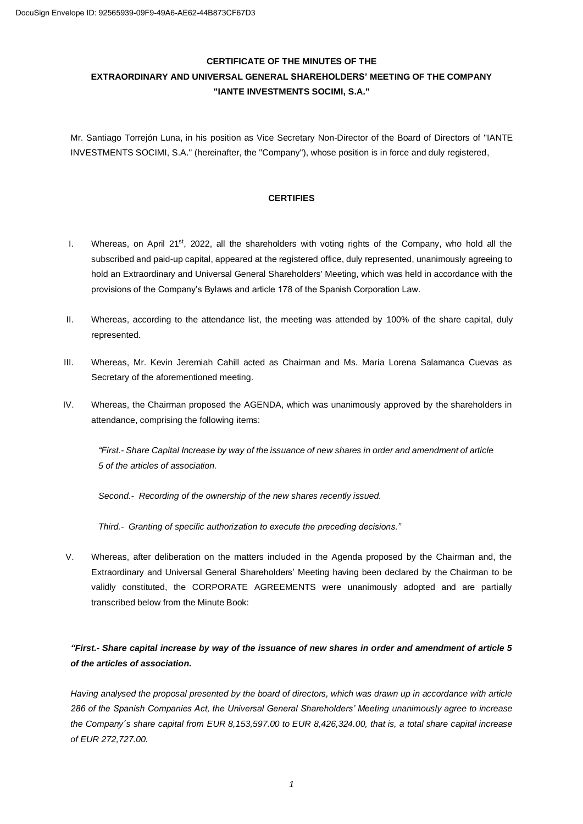# **CERTIFICATE OF THE MINUTES OF THE EXTRAORDINARY AND UNIVERSAL GENERAL SHAREHOLDERS' MEETING OF THE COMPANY "IANTE INVESTMENTS SOCIMI, S.A."**

Mr. Santiago Torrejón Luna, in his position as Vice Secretary Non-Director of the Board of Directors of "IANTE INVESTMENTS SOCIMI, S.A." (hereinafter, the "Company"), whose position is in force and duly registered,

### **CERTIFIES**

- I. Whereas, on April 21<sup>st</sup>, 2022, all the shareholders with voting rights of the Company, who hold all the subscribed and paid-up capital, appeared at the registered office, duly represented, unanimously agreeing to hold an Extraordinary and Universal General Shareholders' Meeting, which was held in accordance with the provisions of the Company's Bylaws and article 178 of the Spanish Corporation Law.
- II. Whereas, according to the attendance list, the meeting was attended by 100% of the share capital, duly represented.
- III. Whereas, Mr. Kevin Jeremiah Cahill acted as Chairman and Ms. María Lorena Salamanca Cuevas as Secretary of the aforementioned meeting.
- IV. Whereas, the Chairman proposed the AGENDA, which was unanimously approved by the shareholders in attendance, comprising the following items:

*"First.- Share Capital Increase by way of the issuance of new shares in order and amendment of article 5 of the articles of association.*

*Second.- Recording of the ownership of the new shares recently issued.*

*Third.- Granting of specific authorization to execute the preceding decisions."*

V. Whereas, after deliberation on the matters included in the Agenda proposed by the Chairman and, the Extraordinary and Universal General Shareholders' Meeting having been declared by the Chairman to be validly constituted, the CORPORATE AGREEMENTS were unanimously adopted and are partially transcribed below from the Minute Book:

## *"First.- Share capital increase by way of the issuance of new shares in order and amendment of article 5 of the articles of association.*

*Having analysed the proposal presented by the board of directors, which was drawn up in accordance with article 286 of the Spanish Companies Act, the Universal General Shareholders' Meeting unanimously agree to increase the Company´s share capital from EUR 8,153,597.00 to EUR 8,426,324.00, that is, a total share capital increase of EUR 272,727.00.*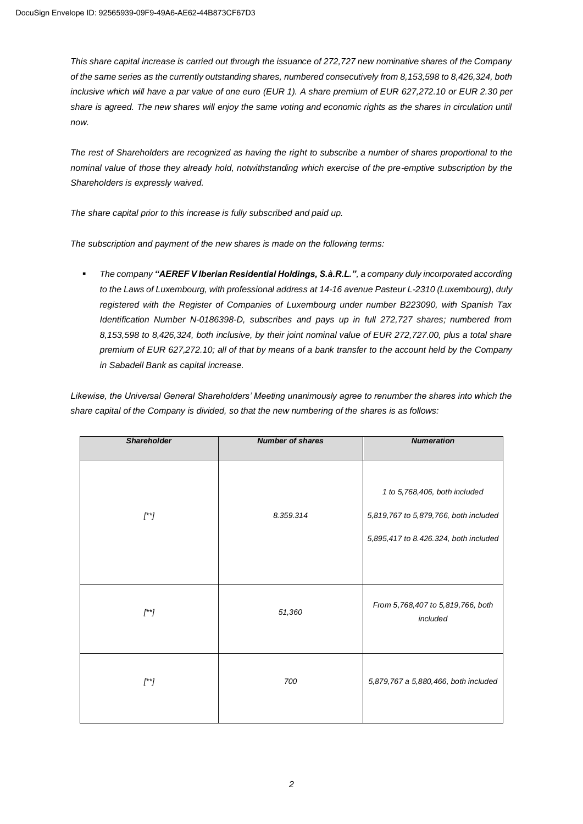*This share capital increase is carried out through the issuance of 272,727 new nominative shares of the Company of the same series as the currently outstanding shares, numbered consecutively from 8,153,598 to 8,426,324, both inclusive which will have a par value of one euro (EUR 1). A share premium of EUR 627,272.10 or EUR 2.30 per*  share is agreed. The new shares will enjoy the same voting and economic rights as the shares in circulation until *now.*

*The rest of Shareholders are recognized as having the right to subscribe a number of shares proportional to the nominal value of those they already hold, notwithstanding which exercise of the pre-emptive subscription by the Shareholders is expressly waived.*

*The share capital prior to this increase is fully subscribed and paid up.*

*The subscription and payment of the new shares is made on the following terms:*

▪ *The company "AEREF V Iberian Residential Holdings, S.à.R.L.", a company duly incorporated according to the Laws of Luxembourg, with professional address at 14-16 avenue Pasteur L-2310 (Luxembourg), duly registered with the Register of Companies of Luxembourg under number B223090, with Spanish Tax Identification Number N-0186398-D, subscribes and pays up in full 272,727 shares; numbered from 8,153,598 to 8,426,324, both inclusive, by their joint nominal value of EUR 272,727.00, plus a total share premium of EUR 627,272.10; all of that by means of a bank transfer to the account held by the Company in Sabadell Bank as capital increase.*

*Likewise, the Universal General Shareholders' Meeting unanimously agree to renumber the shares into which the share capital of the Company is divided, so that the new numbering of the shares is as follows:*

| <b>Shareholder</b> | <b>Number of shares</b> | <b>Numeration</b>                                                                                               |
|--------------------|-------------------------|-----------------------------------------------------------------------------------------------------------------|
| $[$ * $]$          | 8.359.314               | 1 to 5,768,406, both included<br>5,819,767 to 5,879,766, both included<br>5,895,417 to 8.426.324, both included |
| $[$ * $]$          | 51,360                  | From 5,768,407 to 5,819,766, both<br>included                                                                   |
| $[$ * $]$          | 700                     | 5,879,767 a 5,880,466, both included                                                                            |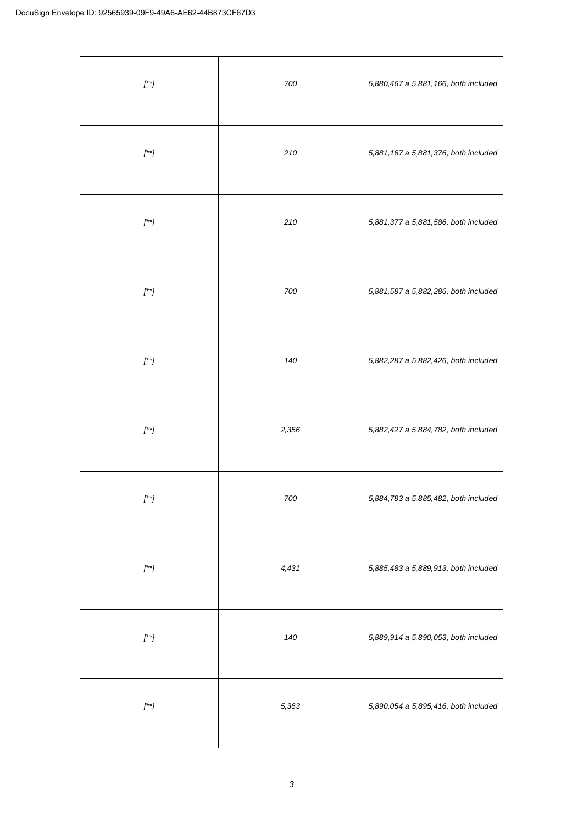| $\boldsymbol{I}^{\star\star}\boldsymbol{J}$ | 700   | 5,880,467 a 5,881,166, both included |
|---------------------------------------------|-------|--------------------------------------|
| $\boldsymbol{I}^{\star\star}\boldsymbol{J}$ | 210   | 5,881,167 a 5,881,376, both included |
| $\boldsymbol{I}^{\star\star}\boldsymbol{J}$ | 210   | 5,881,377 a 5,881,586, both included |
| $\boldsymbol{I^{\star}}$                    | 700   | 5,881,587 a 5,882,286, both included |
| $\boldsymbol{I}^{\star\star}\boldsymbol{J}$ | 140   | 5,882,287 a 5,882,426, both included |
| $\boldsymbol{I}^{\star\star}\boldsymbol{J}$ | 2,356 | 5,882,427 a 5,884,782, both included |
| $\boldsymbol{I}^{\star\star}\boldsymbol{J}$ | 700   | 5,884,783 a 5,885,482, both included |
| $\boldsymbol{I}^{\star\star}\boldsymbol{J}$ | 4,431 | 5,885,483 a 5,889,913, both included |
| $\boldsymbol{I}^{\star\star}\boldsymbol{J}$ | 140   | 5,889,914 a 5,890,053, both included |
| $\boldsymbol{I}^{\star\star}\boldsymbol{J}$ | 5,363 | 5,890,054 a 5,895,416, both included |